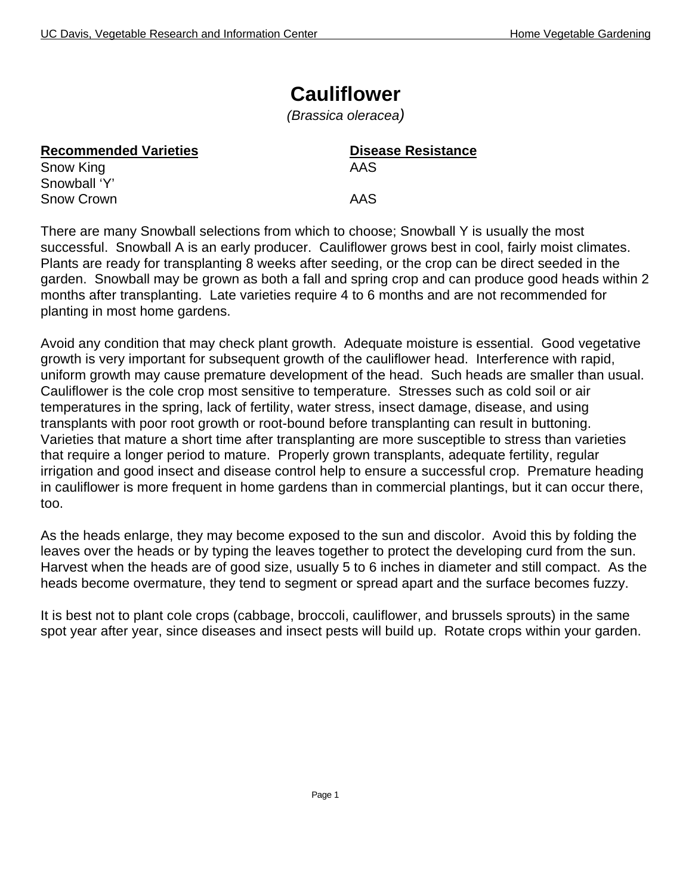# **Cauliflower**

*(Brassica oleracea)*

| <b>Recommended Varieties</b> | <b>Disease Resistance</b> |
|------------------------------|---------------------------|
| Snow King                    | AAS                       |
| Snowball 'Y'                 |                           |
| Snow Crown                   | AAS                       |
|                              |                           |

There are many Snowball selections from which to choose; Snowball Y is usually the most successful. Snowball A is an early producer. Cauliflower grows best in cool, fairly moist climates. Plants are ready for transplanting 8 weeks after seeding, or the crop can be direct seeded in the garden. Snowball may be grown as both a fall and spring crop and can produce good heads within 2 months after transplanting. Late varieties require 4 to 6 months and are not recommended for planting in most home gardens.

Avoid any condition that may check plant growth. Adequate moisture is essential. Good vegetative growth is very important for subsequent growth of the cauliflower head. Interference with rapid, uniform growth may cause premature development of the head. Such heads are smaller than usual. Cauliflower is the cole crop most sensitive to temperature. Stresses such as cold soil or air temperatures in the spring, lack of fertility, water stress, insect damage, disease, and using transplants with poor root growth or root-bound before transplanting can result in buttoning. Varieties that mature a short time after transplanting are more susceptible to stress than varieties that require a longer period to mature. Properly grown transplants, adequate fertility, regular irrigation and good insect and disease control help to ensure a successful crop. Premature heading in cauliflower is more frequent in home gardens than in commercial plantings, but it can occur there, too.

As the heads enlarge, they may become exposed to the sun and discolor. Avoid this by folding the leaves over the heads or by typing the leaves together to protect the developing curd from the sun. Harvest when the heads are of good size, usually 5 to 6 inches in diameter and still compact. As the heads become overmature, they tend to segment or spread apart and the surface becomes fuzzy.

It is best not to plant cole crops (cabbage, broccoli, cauliflower, and brussels sprouts) in the same spot year after year, since diseases and insect pests will build up. Rotate crops within your garden.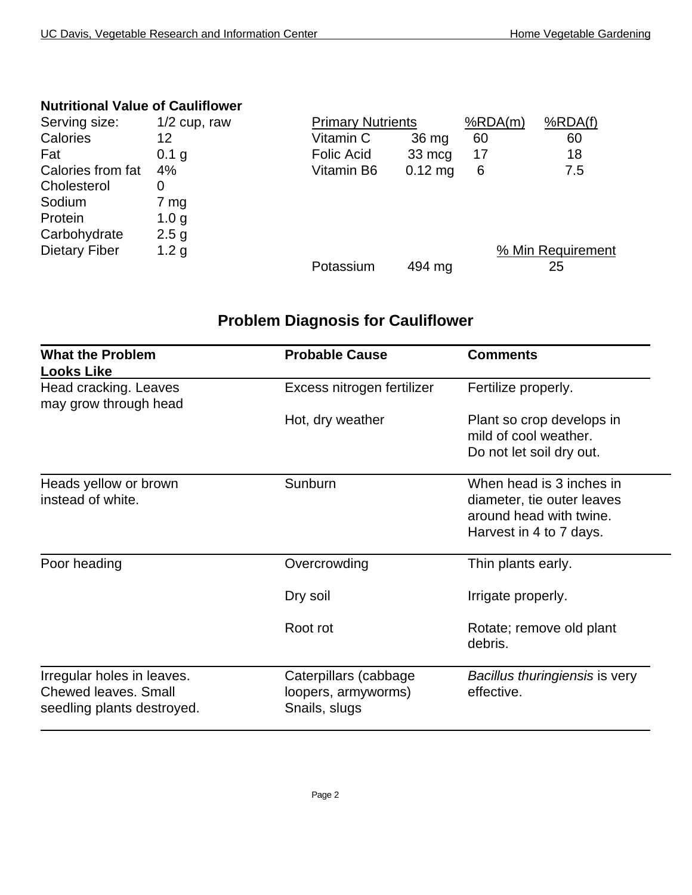#### **Nutritional Value of Cauliflower**

| Serving size:        | $1/2$ cup, raw   | <b>Primary Nutrients</b> |           | %RDA(m) | %RDA(f)           |
|----------------------|------------------|--------------------------|-----------|---------|-------------------|
| Calories             | 12               | Vitamin C                | 36 mg     | 60      | 60                |
| Fat                  | 0.1 g            | <b>Folic Acid</b>        | 33 mcg    | 17      | 18                |
| Calories from fat    | 4%               | Vitamin B6               | $0.12$ mg | 6       | 7.5               |
| Cholesterol          | 0                |                          |           |         |                   |
| Sodium               | 7 mg             |                          |           |         |                   |
| Protein              | 1.0 <sub>g</sub> |                          |           |         |                   |
| Carbohydrate         | 2.5 <sub>g</sub> |                          |           |         |                   |
| <b>Dietary Fiber</b> | 1.2 <sub>g</sub> |                          |           |         | % Min Requirement |
|                      |                  | Potassium                | 494 mg    |         | 25                |

## **Problem Diagnosis for Cauliflower**

| <b>What the Problem</b><br><b>Looks Like</b>                                            | <b>Probable Cause</b>                                         | <b>Comments</b>                                                                                              |
|-----------------------------------------------------------------------------------------|---------------------------------------------------------------|--------------------------------------------------------------------------------------------------------------|
| Head cracking. Leaves<br>may grow through head                                          | Excess nitrogen fertilizer                                    | Fertilize properly.                                                                                          |
|                                                                                         | Hot, dry weather                                              | Plant so crop develops in<br>mild of cool weather.<br>Do not let soil dry out.                               |
| Heads yellow or brown<br>instead of white.                                              | Sunburn                                                       | When head is 3 inches in<br>diameter, tie outer leaves<br>around head with twine.<br>Harvest in 4 to 7 days. |
| Poor heading                                                                            | Overcrowding                                                  | Thin plants early.                                                                                           |
|                                                                                         | Dry soil                                                      | Irrigate properly.                                                                                           |
|                                                                                         | Root rot                                                      | Rotate; remove old plant<br>debris.                                                                          |
| Irregular holes in leaves.<br><b>Chewed leaves, Small</b><br>seedling plants destroyed. | Caterpillars (cabbage<br>loopers, armyworms)<br>Snails, slugs | Bacillus thuringiensis is very<br>effective.                                                                 |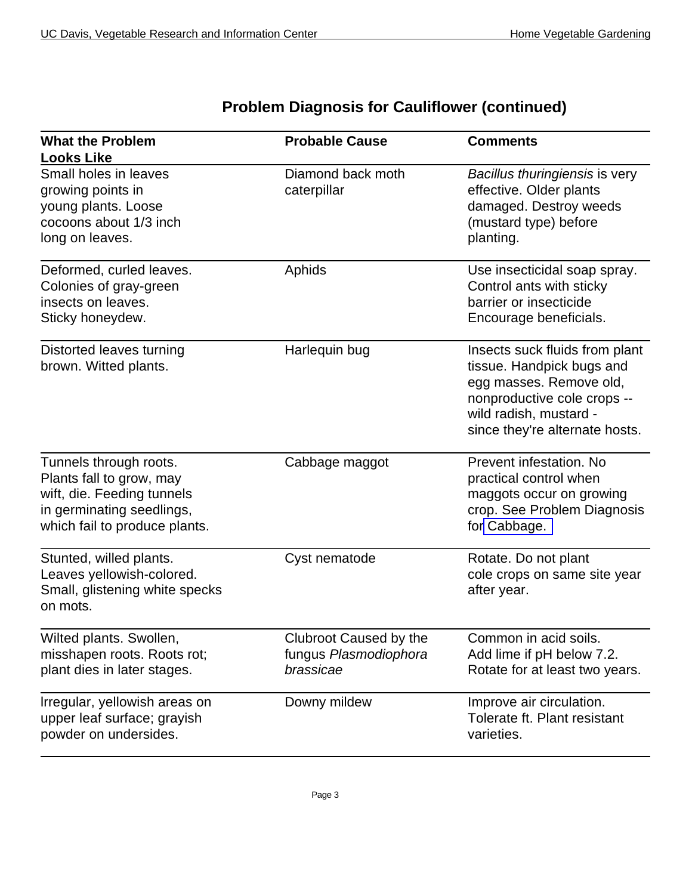$\overline{a}$ 

| <b>What the Problem</b>                                                                                                                        | <b>Probable Cause</b>                                        | <b>Comments</b>                                                                                                                                                                   |
|------------------------------------------------------------------------------------------------------------------------------------------------|--------------------------------------------------------------|-----------------------------------------------------------------------------------------------------------------------------------------------------------------------------------|
| <b>Looks Like</b>                                                                                                                              |                                                              |                                                                                                                                                                                   |
| Small holes in leaves<br>growing points in<br>young plants. Loose<br>cocoons about 1/3 inch<br>long on leaves.                                 | Diamond back moth<br>caterpillar                             | Bacillus thuringiensis is very<br>effective. Older plants<br>damaged. Destroy weeds<br>(mustard type) before<br>planting.                                                         |
| Deformed, curled leaves.<br>Colonies of gray-green<br>insects on leaves.<br>Sticky honeydew.                                                   | Aphids                                                       | Use insecticidal soap spray.<br>Control ants with sticky<br>barrier or insecticide<br>Encourage beneficials.                                                                      |
| Distorted leaves turning<br>brown. Witted plants.                                                                                              | Harlequin bug                                                | Insects suck fluids from plant<br>tissue. Handpick bugs and<br>egg masses. Remove old,<br>nonproductive cole crops --<br>wild radish, mustard -<br>since they're alternate hosts. |
| Tunnels through roots.<br>Plants fall to grow, may<br>wift, die. Feeding tunnels<br>in germinating seedlings,<br>which fail to produce plants. | Cabbage maggot                                               | Prevent infestation. No<br>practical control when<br>maggots occur on growing<br>crop. See Problem Diagnosis<br>for Cabbage.                                                      |
| Stunted, willed plants.<br>Leaves yellowish-colored.<br>Small, glistening white specks<br>on mots.                                             | Cyst nematode                                                | Rotate. Do not plant<br>cole crops on same site year<br>after year.                                                                                                               |
| Wilted plants. Swollen,<br>misshapen roots. Roots rot;<br>plant dies in later stages.                                                          | Clubroot Caused by the<br>fungus Plasmodiophora<br>brassicae | Common in acid soils.<br>Add lime if pH below 7.2.<br>Rotate for at least two years.                                                                                              |
| Irregular, yellowish areas on<br>upper leaf surface; grayish<br>powder on undersides.                                                          | Downy mildew                                                 | Improve air circulation.<br>Tolerate ft. Plant resistant<br>varieties.                                                                                                            |

#### **Problem Diagnosis for Cauliflower (continued)**